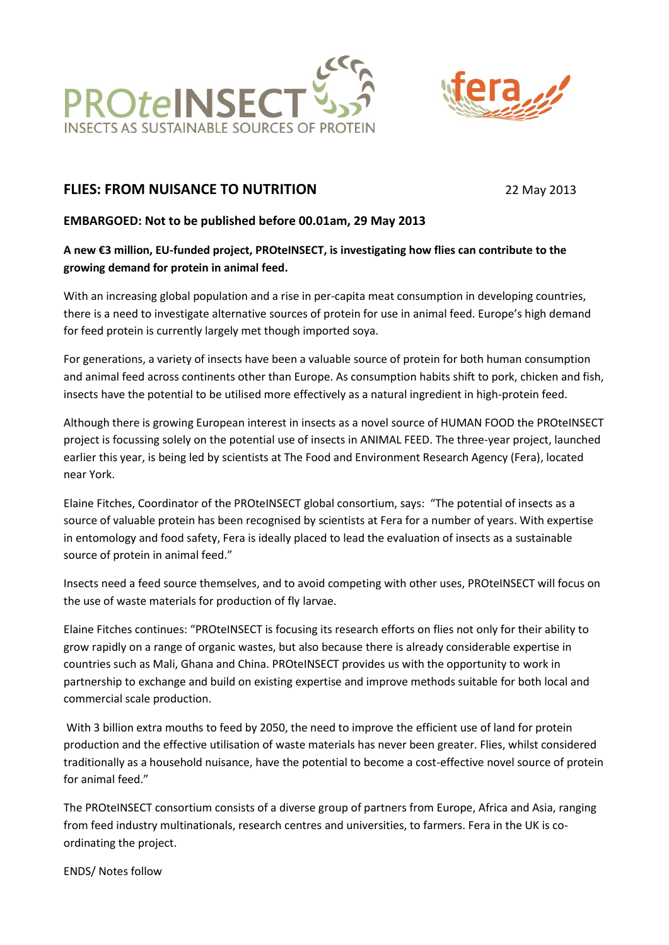



# **FLIES: FROM NUISANCE TO NUTRITION** 22 May 2013

### **EMBARGOED: Not to be published before 00.01am, 29 May 2013**

## **A new €3 million, EU-funded project, PROteINSECT, is investigating how flies can contribute to the growing demand for protein in animal feed.**

With an increasing global population and a rise in per-capita meat consumption in developing countries, there is a need to investigate alternative sources of protein for use in animal feed. Europe's high demand for feed protein is currently largely met though imported soya.

For generations, a variety of insects have been a valuable source of protein for both human consumption and animal feed across continents other than Europe. As consumption habits shift to pork, chicken and fish, insects have the potential to be utilised more effectively as a natural ingredient in high-protein feed.

Although there is growing European interest in insects as a novel source of HUMAN FOOD the PROteINSECT project is focussing solely on the potential use of insects in ANIMAL FEED. The three-year project, launched earlier this year, is being led by scientists at The Food and Environment Research Agency (Fera), located near York.

Elaine Fitches, Coordinator of the PROteINSECT global consortium, says: "The potential of insects as a source of valuable protein has been recognised by scientists at Fera for a number of years. With expertise in entomology and food safety, Fera is ideally placed to lead the evaluation of insects as a sustainable source of protein in animal feed."

Insects need a feed source themselves, and to avoid competing with other uses, PROteINSECT will focus on the use of waste materials for production of fly larvae.

Elaine Fitches continues: "PROteINSECT is focusing its research efforts on flies not only for their ability to grow rapidly on a range of organic wastes, but also because there is already considerable expertise in countries such as Mali, Ghana and China. PROteINSECT provides us with the opportunity to work in partnership to exchange and build on existing expertise and improve methods suitable for both local and commercial scale production.

With 3 billion extra mouths to feed by 2050, the need to improve the efficient use of land for protein production and the effective utilisation of waste materials has never been greater. Flies, whilst considered traditionally as a household nuisance, have the potential to become a cost-effective novel source of protein for animal feed."

The PROteINSECT consortium consists of a diverse group of partners from Europe, Africa and Asia, ranging from feed industry multinationals, research centres and universities, to farmers. Fera in the UK is coordinating the project.

ENDS/ Notes follow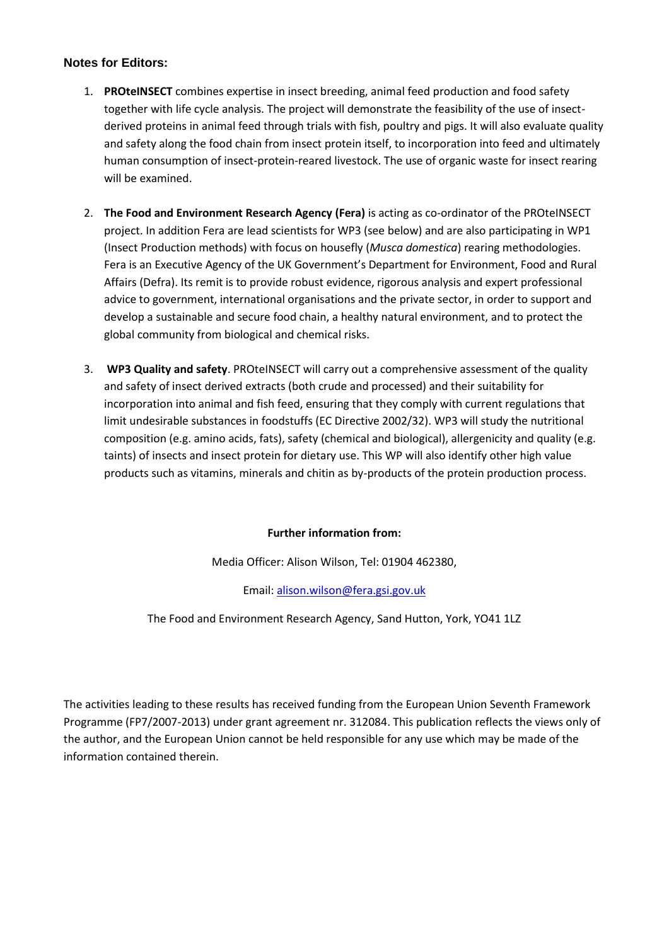#### **Notes for Editors:**

- 1. **PROteINSECT** combines expertise in insect breeding, animal feed production and food safety together with life cycle analysis. The project will demonstrate the feasibility of the use of insectderived proteins in animal feed through trials with fish, poultry and pigs. It will also evaluate quality and safety along the food chain from insect protein itself, to incorporation into feed and ultimately human consumption of insect-protein-reared livestock. The use of organic waste for insect rearing will be examined.
- 2. **The Food and Environment Research Agency (Fera)** is acting as co-ordinator of the PROteINSECT project. In addition Fera are lead scientists for WP3 (see below) and are also participating in WP1 (Insect Production methods) with focus on housefly (*Musca domestica*) rearing methodologies. Fera is an Executive Agency of the UK Government's Department for Environment, Food and Rural Affairs (Defra). Its remit is to provide robust evidence, rigorous analysis and expert professional advice to government, international organisations and the private sector, in order to support and develop a sustainable and secure food chain, a healthy natural environment, and to protect the global community from biological and chemical risks.
- 3. **WP3 Quality and safety**. PROteINSECT will carry out a comprehensive assessment of the quality and safety of insect derived extracts (both crude and processed) and their suitability for incorporation into animal and fish feed, ensuring that they comply with current regulations that limit undesirable substances in foodstuffs (EC Directive 2002/32). WP3 will study the nutritional composition (e.g. amino acids, fats), safety (chemical and biological), allergenicity and quality (e.g. taints) of insects and insect protein for dietary use. This WP will also identify other high value products such as vitamins, minerals and chitin as by-products of the protein production process.

#### **Further information from:**

Media Officer: Alison Wilson, Tel: 01904 462380,

Email: [alison.wilson@fera.gsi.gov.uk](mailto:alison.wilson@fera.gsi.gov.uk)

The Food and Environment Research Agency, Sand Hutton, York, YO41 1LZ

The activities leading to these results has received funding from the European Union Seventh Framework Programme (FP7/2007-2013) under grant agreement nr. 312084. This publication reflects the views only of the author, and the European Union cannot be held responsible for any use which may be made of the information contained therein.